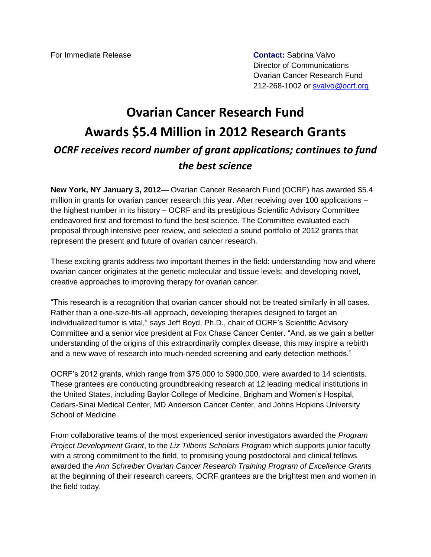For Immediate Release **Contact:** Sabrina Valvo

Director of Communications Ovarian Cancer Research Fund 212-268-1002 or [svalvo@ocrf.org](mailto:svalvo@ocrf.org)

## **Ovarian Cancer Research Fund Awards \$5.4 Million in 2012 Research Grants** *OCRF receives record number of grant applications; continues to fund the best science*

**New York, NY January 3, 2012—** Ovarian Cancer Research Fund (OCRF) has awarded \$5.4 million in grants for ovarian cancer research this year. After receiving over 100 applications – the highest number in its history – OCRF and its prestigious Scientific Advisory Committee endeavored first and foremost to fund the best science. The Committee evaluated each proposal through intensive peer review, and selected a sound portfolio of 2012 grants that represent the present and future of ovarian cancer research.

These exciting grants address two important themes in the field: understanding how and where ovarian cancer originates at the genetic molecular and tissue levels; and developing novel, creative approaches to improving therapy for ovarian cancer.

"This research is a recognition that ovarian cancer should not be treated similarly in all cases. Rather than a one-size-fits-all approach, developing therapies designed to target an individualized tumor is vital," says Jeff Boyd, Ph.D., chair of OCRF's Scientific Advisory Committee and a senior vice president at Fox Chase Cancer Center. "And, as we gain a better understanding of the origins of this extraordinarily complex disease, this may inspire a rebirth and a new wave of research into much-needed screening and early detection methods."

OCRF's 2012 grants, which range from \$75,000 to \$900,000, were awarded to 14 scientists. These grantees are conducting groundbreaking research at 12 leading medical institutions in the United States, including Baylor College of Medicine, Brigham and Women's Hospital, Cedars-Sinai Medical Center, MD Anderson Cancer Center, and Johns Hopkins University School of Medicine.

From collaborative teams of the most experienced senior investigators awarded the *Program Project Development Grant*, to the *Liz Tilberis Scholars Program* which supports junior faculty with a strong commitment to the field, to promising young postdoctoral and clinical fellows awarded the *Ann Schreiber Ovarian Cancer Research Training Program of Excellence Grants*  at the beginning of their research careers, OCRF grantees are the brightest men and women in the field today.